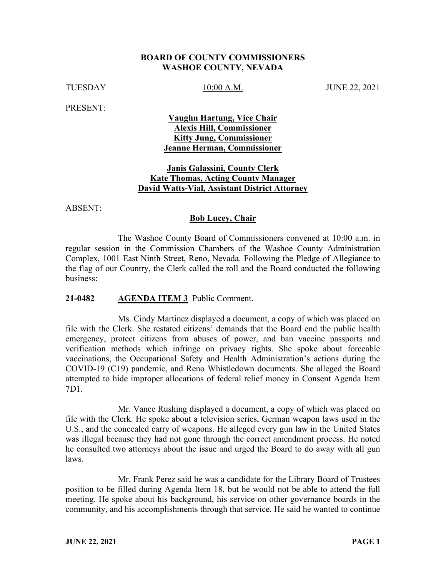## **BOARD OF COUNTY COMMISSIONERS WASHOE COUNTY, NEVADA**

TUESDAY 10:00 A.M. JUNE 22, 2021

PRESENT:

# **Vaughn Hartung, Vice Chair Alexis Hill, Commissioner Kitty Jung, Commissioner Jeanne Herman, Commissioner**

## **Janis Galassini, County Clerk Kate Thomas, Acting County Manager David Watts-Vial, Assistant District Attorney**

ABSENT:

## **Bob Lucey, Chair**

The Washoe County Board of Commissioners convened at 10:00 a.m. in regular session in the Commission Chambers of the Washoe County Administration Complex, 1001 East Ninth Street, Reno, Nevada. Following the Pledge of Allegiance to the flag of our Country, the Clerk called the roll and the Board conducted the following business:

### **21-0482 AGENDA ITEM 3** Public Comment.

Ms. Cindy Martinez displayed a document, a copy of which was placed on file with the Clerk. She restated citizens' demands that the Board end the public health emergency, protect citizens from abuses of power, and ban vaccine passports and verification methods which infringe on privacy rights. She spoke about forceable vaccinations, the Occupational Safety and Health Administration's actions during the COVID-19 (C19) pandemic, and Reno Whistledown documents. She alleged the Board attempted to hide improper allocations of federal relief money in Consent Agenda Item 7D1.

Mr. Vance Rushing displayed a document, a copy of which was placed on file with the Clerk. He spoke about a television series, German weapon laws used in the U.S., and the concealed carry of weapons. He alleged every gun law in the United States was illegal because they had not gone through the correct amendment process. He noted he consulted two attorneys about the issue and urged the Board to do away with all gun laws.

Mr. Frank Perez said he was a candidate for the Library Board of Trustees position to be filled during Agenda Item 18, but he would not be able to attend the full meeting. He spoke about his background, his service on other governance boards in the community, and his accomplishments through that service. He said he wanted to continue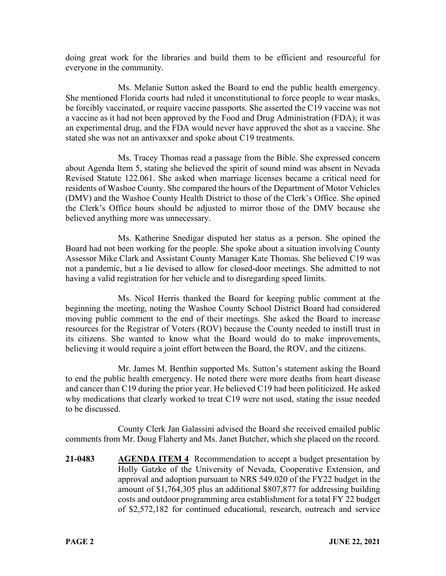doing great work for the libraries and build them to be efficient and resourceful for everyone in the community.

Ms. Melanie Sutton asked the Board to end the public health emergency. She mentioned Florida courts had ruled it unconstitutional to force people to wear masks, be forcibly vaccinated, or require vaccine passports. She asserted the C19 vaccine was not a vaccine as it had not been approved by the Food and Drug Administration (FDA); it was an experimental drug, and the FDA would never have approved the shot as a vaccine. She stated she was not an antivaxxer and spoke about C19 treatments.

Ms. Tracey Thomas read a passage from the Bible. She expressed concern about Agenda Item 5, stating she believed the spirit of sound mind was absent in Nevada Revised Statute 122.061. She asked when marriage licenses became a critical need for residents of Washoe County. She compared the hours of the Department of Motor Vehicles (DMV) and the Washoe County Health District to those of the Clerk's Office. She opined the Clerk's Office hours should be adjusted to mirror those of the DMV because she believed anything more was unnecessary.

Ms. Katherine Snedigar disputed her status as a person. She opined the Board had not been working for the people. She spoke about a situation involving County Assessor Mike Clark and Assistant County Manager Kate Thomas. She believed C19 was not a pandemic, but a lie devised to allow for closed-door meetings. She admitted to not having a valid registration for her vehicle and to disregarding speed limits.

Ms. Nicol Herris thanked the Board for keeping public comment at the beginning the meeting, noting the Washoe County School District Board had considered moving public comment to the end of their meetings. She asked the Board to increase resources for the Registrar of Voters (ROV) because the County needed to instill trust in its citizens. She wanted to know what the Board would do to make improvements, believing it would require a joint effort between the Board, the ROV, and the citizens.

Mr. James M. Benthin supported Ms. Sutton's statement asking the Board to end the public health emergency. He noted there were more deaths from heart disease and cancer than C19 during the prior year. He believed C19 had been politicized. He asked why medications that clearly worked to treat C19 were not used, stating the issue needed to be discussed.

County Clerk Jan Galassini advised the Board she received emailed public comments from Mr. Doug Flaherty and Ms. Janet Butcher, which she placed on the record.

**21-0483 AGENDA ITEM 4** Recommendation to accept a budget presentation by Holly Gatzke of the University of Nevada, Cooperative Extension, and approval and adoption pursuant to NRS 549.020 of the FY22 budget in the amount of \$1,764,305 plus an additional \$807,877 for addressing building costs and outdoor programming area establishment for a total FY 22 budget of \$2,572,182 for continued educational, research, outreach and service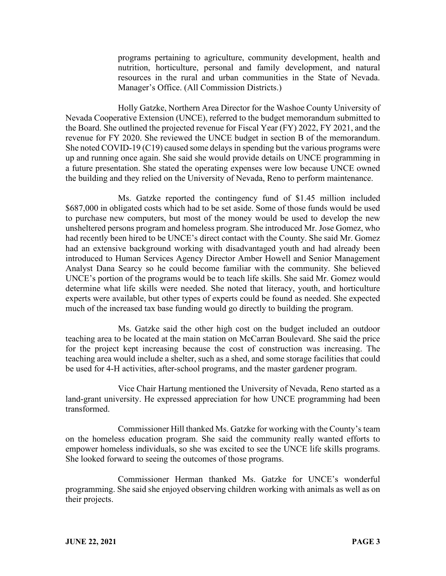programs pertaining to agriculture, community development, health and nutrition, horticulture, personal and family development, and natural resources in the rural and urban communities in the State of Nevada. Manager's Office. (All Commission Districts.)

Holly Gatzke, Northern Area Director for the Washoe County University of Nevada Cooperative Extension (UNCE), referred to the budget memorandum submitted to the Board. She outlined the projected revenue for Fiscal Year (FY) 2022, FY 2021, and the revenue for FY 2020. She reviewed the UNCE budget in section B of the memorandum. She noted COVID-19 (C19) caused some delays in spending but the various programs were up and running once again. She said she would provide details on UNCE programming in a future presentation. She stated the operating expenses were low because UNCE owned the building and they relied on the University of Nevada, Reno to perform maintenance.

Ms. Gatzke reported the contingency fund of \$1.45 million included \$687,000 in obligated costs which had to be set aside. Some of those funds would be used to purchase new computers, but most of the money would be used to develop the new unsheltered persons program and homeless program. She introduced Mr. Jose Gomez, who had recently been hired to be UNCE's direct contact with the County. She said Mr. Gomez had an extensive background working with disadvantaged youth and had already been introduced to Human Services Agency Director Amber Howell and Senior Management Analyst Dana Searcy so he could become familiar with the community. She believed UNCE's portion of the programs would be to teach life skills. She said Mr. Gomez would determine what life skills were needed. She noted that literacy, youth, and horticulture experts were available, but other types of experts could be found as needed. She expected much of the increased tax base funding would go directly to building the program.

Ms. Gatzke said the other high cost on the budget included an outdoor teaching area to be located at the main station on McCarran Boulevard. She said the price for the project kept increasing because the cost of construction was increasing. The teaching area would include a shelter, such as a shed, and some storage facilities that could be used for 4-H activities, after-school programs, and the master gardener program.

Vice Chair Hartung mentioned the University of Nevada, Reno started as a land-grant university. He expressed appreciation for how UNCE programming had been transformed.

Commissioner Hill thanked Ms. Gatzke for working with the County's team on the homeless education program. She said the community really wanted efforts to empower homeless individuals, so she was excited to see the UNCE life skills programs. She looked forward to seeing the outcomes of those programs.

Commissioner Herman thanked Ms. Gatzke for UNCE's wonderful programming. She said she enjoyed observing children working with animals as well as on their projects.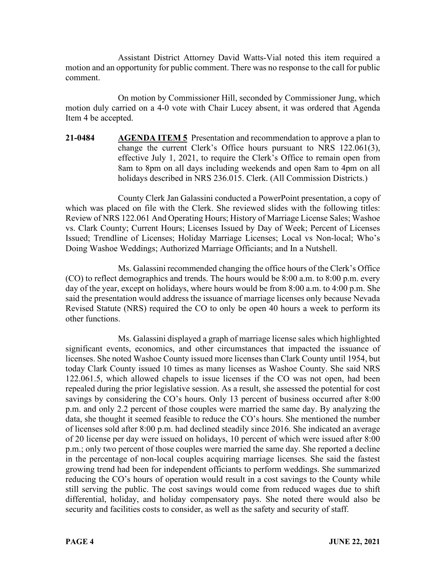Assistant District Attorney David Watts-Vial noted this item required a motion and an opportunity for public comment. There was no response to the call for public comment.

On motion by Commissioner Hill, seconded by Commissioner Jung, which motion duly carried on a 4-0 vote with Chair Lucey absent, it was ordered that Agenda Item 4 be accepted.

**21-0484 AGENDA ITEM 5** Presentation and recommendation to approve a plan to change the current Clerk's Office hours pursuant to NRS 122.061(3), effective July 1, 2021, to require the Clerk's Office to remain open from 8am to 8pm on all days including weekends and open 8am to 4pm on all holidays described in NRS 236.015. Clerk. (All Commission Districts.)

County Clerk Jan Galassini conducted a PowerPoint presentation, a copy of which was placed on file with the Clerk. She reviewed slides with the following titles: Review of NRS 122.061 And Operating Hours; History of Marriage License Sales; Washoe vs. Clark County; Current Hours; Licenses Issued by Day of Week; Percent of Licenses Issued; Trendline of Licenses; Holiday Marriage Licenses; Local vs Non-local; Who's Doing Washoe Weddings; Authorized Marriage Officiants; and In a Nutshell.

Ms. Galassini recommended changing the office hours of the Clerk's Office (CO) to reflect demographics and trends. The hours would be 8:00 a.m. to 8:00 p.m. every day of the year, except on holidays, where hours would be from 8:00 a.m. to 4:00 p.m. She said the presentation would address the issuance of marriage licenses only because Nevada Revised Statute (NRS) required the CO to only be open 40 hours a week to perform its other functions.

Ms. Galassini displayed a graph of marriage license sales which highlighted significant events, economics, and other circumstances that impacted the issuance of licenses. She noted Washoe County issued more licenses than Clark County until 1954, but today Clark County issued 10 times as many licenses as Washoe County. She said NRS 122.061.5, which allowed chapels to issue licenses if the CO was not open, had been repealed during the prior legislative session. As a result, she assessed the potential for cost savings by considering the CO's hours. Only 13 percent of business occurred after 8:00 p.m. and only 2.2 percent of those couples were married the same day. By analyzing the data, she thought it seemed feasible to reduce the CO's hours. She mentioned the number of licenses sold after 8:00 p.m. had declined steadily since 2016. She indicated an average of 20 license per day were issued on holidays, 10 percent of which were issued after 8:00 p.m.; only two percent of those couples were married the same day. She reported a decline in the percentage of non-local couples acquiring marriage licenses. She said the fastest growing trend had been for independent officiants to perform weddings. She summarized reducing the CO's hours of operation would result in a cost savings to the County while still serving the public. The cost savings would come from reduced wages due to shift differential, holiday, and holiday compensatory pays. She noted there would also be security and facilities costs to consider, as well as the safety and security of staff.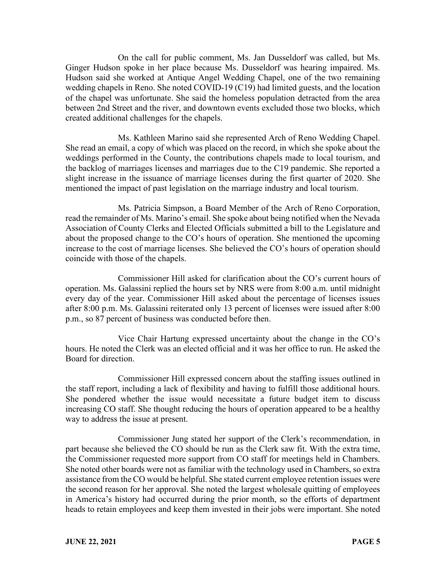On the call for public comment, Ms. Jan Dusseldorf was called, but Ms. Ginger Hudson spoke in her place because Ms. Dusseldorf was hearing impaired. Ms. Hudson said she worked at Antique Angel Wedding Chapel, one of the two remaining wedding chapels in Reno. She noted COVID-19 (C19) had limited guests, and the location of the chapel was unfortunate. She said the homeless population detracted from the area between 2nd Street and the river, and downtown events excluded those two blocks, which created additional challenges for the chapels.

Ms. Kathleen Marino said she represented Arch of Reno Wedding Chapel. She read an email, a copy of which was placed on the record, in which she spoke about the weddings performed in the County, the contributions chapels made to local tourism, and the backlog of marriages licenses and marriages due to the C19 pandemic. She reported a slight increase in the issuance of marriage licenses during the first quarter of 2020. She mentioned the impact of past legislation on the marriage industry and local tourism.

Ms. Patricia Simpson, a Board Member of the Arch of Reno Corporation, read the remainder of Ms. Marino's email. She spoke about being notified when the Nevada Association of County Clerks and Elected Officials submitted a bill to the Legislature and about the proposed change to the CO's hours of operation. She mentioned the upcoming increase to the cost of marriage licenses. She believed the CO's hours of operation should coincide with those of the chapels.

Commissioner Hill asked for clarification about the CO's current hours of operation. Ms. Galassini replied the hours set by NRS were from 8:00 a.m. until midnight every day of the year. Commissioner Hill asked about the percentage of licenses issues after 8:00 p.m. Ms. Galassini reiterated only 13 percent of licenses were issued after 8:00 p.m., so 87 percent of business was conducted before then.

Vice Chair Hartung expressed uncertainty about the change in the CO's hours. He noted the Clerk was an elected official and it was her office to run. He asked the Board for direction.

Commissioner Hill expressed concern about the staffing issues outlined in the staff report, including a lack of flexibility and having to fulfill those additional hours. She pondered whether the issue would necessitate a future budget item to discuss increasing CO staff. She thought reducing the hours of operation appeared to be a healthy way to address the issue at present.

Commissioner Jung stated her support of the Clerk's recommendation, in part because she believed the CO should be run as the Clerk saw fit. With the extra time, the Commissioner requested more support from CO staff for meetings held in Chambers. She noted other boards were not as familiar with the technology used in Chambers, so extra assistance from the CO would be helpful. She stated current employee retention issues were the second reason for her approval. She noted the largest wholesale quitting of employees in America's history had occurred during the prior month, so the efforts of department heads to retain employees and keep them invested in their jobs were important. She noted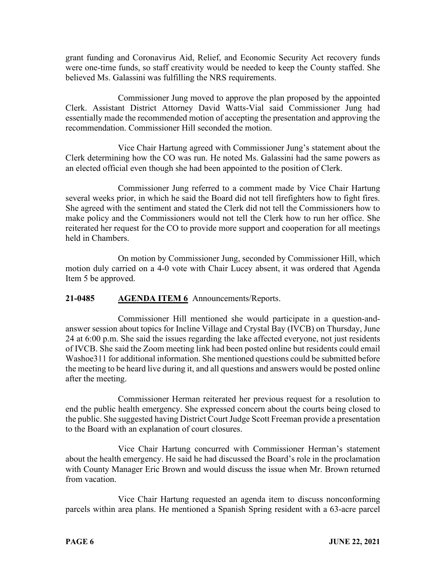grant funding and Coronavirus Aid, Relief, and Economic Security Act recovery funds were one-time funds, so staff creativity would be needed to keep the County staffed. She believed Ms. Galassini was fulfilling the NRS requirements.

Commissioner Jung moved to approve the plan proposed by the appointed Clerk. Assistant District Attorney David Watts-Vial said Commissioner Jung had essentially made the recommended motion of accepting the presentation and approving the recommendation. Commissioner Hill seconded the motion.

Vice Chair Hartung agreed with Commissioner Jung's statement about the Clerk determining how the CO was run. He noted Ms. Galassini had the same powers as an elected official even though she had been appointed to the position of Clerk.

Commissioner Jung referred to a comment made by Vice Chair Hartung several weeks prior, in which he said the Board did not tell firefighters how to fight fires. She agreed with the sentiment and stated the Clerk did not tell the Commissioners how to make policy and the Commissioners would not tell the Clerk how to run her office. She reiterated her request for the CO to provide more support and cooperation for all meetings held in Chambers.

On motion by Commissioner Jung, seconded by Commissioner Hill, which motion duly carried on a 4-0 vote with Chair Lucey absent, it was ordered that Agenda Item 5 be approved.

# **21-0485 AGENDA ITEM 6** Announcements/Reports.

Commissioner Hill mentioned she would participate in a question-andanswer session about topics for Incline Village and Crystal Bay (IVCB) on Thursday, June 24 at 6:00 p.m. She said the issues regarding the lake affected everyone, not just residents of IVCB. She said the Zoom meeting link had been posted online but residents could email Washoe311 for additional information. She mentioned questions could be submitted before the meeting to be heard live during it, and all questions and answers would be posted online after the meeting.

Commissioner Herman reiterated her previous request for a resolution to end the public health emergency. She expressed concern about the courts being closed to the public. She suggested having District Court Judge Scott Freeman provide a presentation to the Board with an explanation of court closures.

Vice Chair Hartung concurred with Commissioner Herman's statement about the health emergency. He said he had discussed the Board's role in the proclamation with County Manager Eric Brown and would discuss the issue when Mr. Brown returned from vacation.

Vice Chair Hartung requested an agenda item to discuss nonconforming parcels within area plans. He mentioned a Spanish Spring resident with a 63-acre parcel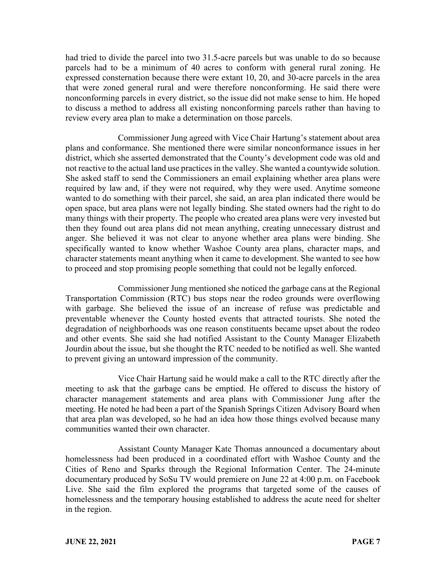had tried to divide the parcel into two 31.5-acre parcels but was unable to do so because parcels had to be a minimum of 40 acres to conform with general rural zoning. He expressed consternation because there were extant 10, 20, and 30-acre parcels in the area that were zoned general rural and were therefore nonconforming. He said there were nonconforming parcels in every district, so the issue did not make sense to him. He hoped to discuss a method to address all existing nonconforming parcels rather than having to review every area plan to make a determination on those parcels.

Commissioner Jung agreed with Vice Chair Hartung's statement about area plans and conformance. She mentioned there were similar nonconformance issues in her district, which she asserted demonstrated that the County's development code was old and not reactive to the actual land use practices in the valley. She wanted a countywide solution. She asked staff to send the Commissioners an email explaining whether area plans were required by law and, if they were not required, why they were used. Anytime someone wanted to do something with their parcel, she said, an area plan indicated there would be open space, but area plans were not legally binding. She stated owners had the right to do many things with their property. The people who created area plans were very invested but then they found out area plans did not mean anything, creating unnecessary distrust and anger. She believed it was not clear to anyone whether area plans were binding. She specifically wanted to know whether Washoe County area plans, character maps, and character statements meant anything when it came to development. She wanted to see how to proceed and stop promising people something that could not be legally enforced.

Commissioner Jung mentioned she noticed the garbage cans at the Regional Transportation Commission (RTC) bus stops near the rodeo grounds were overflowing with garbage. She believed the issue of an increase of refuse was predictable and preventable whenever the County hosted events that attracted tourists. She noted the degradation of neighborhoods was one reason constituents became upset about the rodeo and other events. She said she had notified Assistant to the County Manager Elizabeth Jourdin about the issue, but she thought the RTC needed to be notified as well. She wanted to prevent giving an untoward impression of the community.

Vice Chair Hartung said he would make a call to the RTC directly after the meeting to ask that the garbage cans be emptied. He offered to discuss the history of character management statements and area plans with Commissioner Jung after the meeting. He noted he had been a part of the Spanish Springs Citizen Advisory Board when that area plan was developed, so he had an idea how those things evolved because many communities wanted their own character.

Assistant County Manager Kate Thomas announced a documentary about homelessness had been produced in a coordinated effort with Washoe County and the Cities of Reno and Sparks through the Regional Information Center. The 24-minute documentary produced by SoSu TV would premiere on June 22 at 4:00 p.m. on Facebook Live. She said the film explored the programs that targeted some of the causes of homelessness and the temporary housing established to address the acute need for shelter in the region.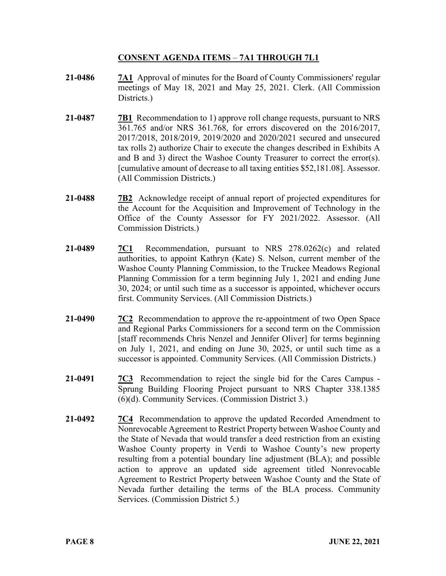# **CONSENT AGENDA ITEMS** – **7A1 THROUGH 7L1**

- **21-0486 7A1** Approval of minutes for the Board of County Commissioners' regular meetings of May 18, 2021 and May 25, 2021. Clerk. (All Commission Districts.)
- **21-0487 7B1** Recommendation to 1) approve roll change requests, pursuant to NRS 361.765 and/or NRS 361.768, for errors discovered on the 2016/2017, 2017/2018, 2018/2019, 2019/2020 and 2020/2021 secured and unsecured tax rolls 2) authorize Chair to execute the changes described in Exhibits A and B and 3) direct the Washoe County Treasurer to correct the error(s). [cumulative amount of decrease to all taxing entities \$52,181.08]. Assessor. (All Commission Districts.)
- **21-0488 7B2** Acknowledge receipt of annual report of projected expenditures for the Account for the Acquisition and Improvement of Technology in the Office of the County Assessor for FY 2021/2022. Assessor. (All Commission Districts.)
- **21-0489 7C1** Recommendation, pursuant to NRS 278.0262(c) and related authorities, to appoint Kathryn (Kate) S. Nelson, current member of the Washoe County Planning Commission, to the Truckee Meadows Regional Planning Commission for a term beginning July 1, 2021 and ending June 30, 2024; or until such time as a successor is appointed, whichever occurs first. Community Services. (All Commission Districts.)
- **21-0490 7C2** Recommendation to approve the re-appointment of two Open Space and Regional Parks Commissioners for a second term on the Commission [staff recommends Chris Nenzel and Jennifer Oliver] for terms beginning on July 1, 2021, and ending on June 30, 2025, or until such time as a successor is appointed. Community Services. (All Commission Districts.)
- **21-0491 7C3** Recommendation to reject the single bid for the Cares Campus Sprung Building Flooring Project pursuant to NRS Chapter 338.1385 (6)(d). Community Services. (Commission District 3.)
- **21-0492 7C4** Recommendation to approve the updated Recorded Amendment to Nonrevocable Agreement to Restrict Property between Washoe County and the State of Nevada that would transfer a deed restriction from an existing Washoe County property in Verdi to Washoe County's new property resulting from a potential boundary line adjustment (BLA); and possible action to approve an updated side agreement titled Nonrevocable Agreement to Restrict Property between Washoe County and the State of Nevada further detailing the terms of the BLA process. Community Services. (Commission District 5.)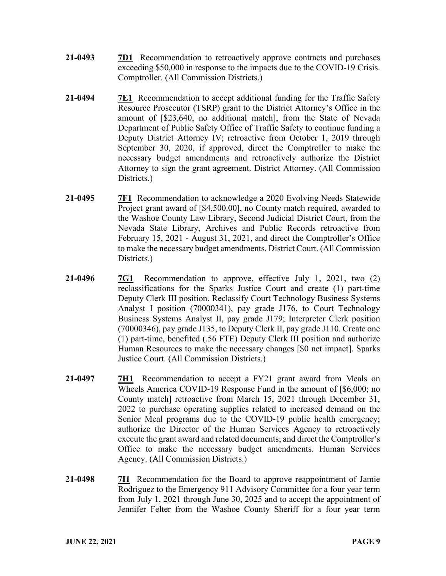- **21-0493 7D1** Recommendation to retroactively approve contracts and purchases exceeding \$50,000 in response to the impacts due to the COVID-19 Crisis. Comptroller. (All Commission Districts.)
- **21-0494 7E1** Recommendation to accept additional funding for the Traffic Safety Resource Prosecutor (TSRP) grant to the District Attorney's Office in the amount of [\$23,640, no additional match], from the State of Nevada Department of Public Safety Office of Traffic Safety to continue funding a Deputy District Attorney IV; retroactive from October 1, 2019 through September 30, 2020, if approved, direct the Comptroller to make the necessary budget amendments and retroactively authorize the District Attorney to sign the grant agreement. District Attorney. (All Commission Districts.)
- **21-0495 7F1** Recommendation to acknowledge a 2020 Evolving Needs Statewide Project grant award of [\$4,500.00], no County match required, awarded to the Washoe County Law Library, Second Judicial District Court, from the Nevada State Library, Archives and Public Records retroactive from February 15, 2021 - August 31, 2021, and direct the Comptroller's Office to make the necessary budget amendments. District Court. (All Commission Districts.)
- **21-0496 7G1** Recommendation to approve, effective July 1, 2021, two (2) reclassifications for the Sparks Justice Court and create (1) part-time Deputy Clerk III position. Reclassify Court Technology Business Systems Analyst I position (70000341), pay grade J176, to Court Technology Business Systems Analyst II, pay grade J179; Interpreter Clerk position (70000346), pay grade J135, to Deputy Clerk II, pay grade J110. Create one (1) part-time, benefited (.56 FTE) Deputy Clerk III position and authorize Human Resources to make the necessary changes [\$0 net impact]. Sparks Justice Court. (All Commission Districts.)
- **21-0497 7H1** Recommendation to accept a FY21 grant award from Meals on Wheels America COVID-19 Response Fund in the amount of [\$6,000; no County match] retroactive from March 15, 2021 through December 31, 2022 to purchase operating supplies related to increased demand on the Senior Meal programs due to the COVID-19 public health emergency; authorize the Director of the Human Services Agency to retroactively execute the grant award and related documents; and direct the Comptroller's Office to make the necessary budget amendments. Human Services Agency. (All Commission Districts.)
- **21-0498 7I1** Recommendation for the Board to approve reappointment of Jamie Rodriguez to the Emergency 911 Advisory Committee for a four year term from July 1, 2021 through June 30, 2025 and to accept the appointment of Jennifer Felter from the Washoe County Sheriff for a four year term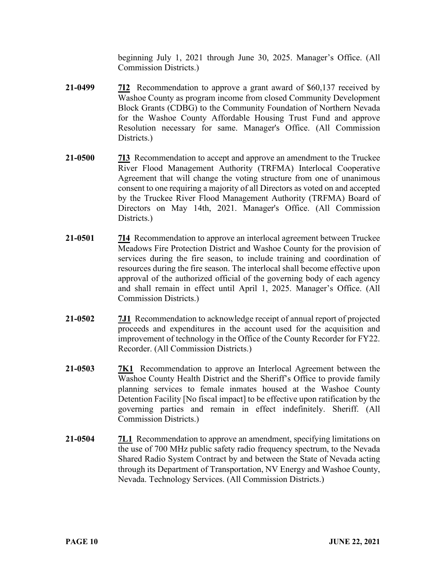beginning July 1, 2021 through June 30, 2025. Manager's Office. (All Commission Districts.)

- **21-0499 7I2** Recommendation to approve a grant award of \$60,137 received by Washoe County as program income from closed Community Development Block Grants (CDBG) to the Community Foundation of Northern Nevada for the Washoe County Affordable Housing Trust Fund and approve Resolution necessary for same. Manager's Office. (All Commission Districts.)
- **21-0500 7I3** Recommendation to accept and approve an amendment to the Truckee River Flood Management Authority (TRFMA) Interlocal Cooperative Agreement that will change the voting structure from one of unanimous consent to one requiring a majority of all Directors as voted on and accepted by the Truckee River Flood Management Authority (TRFMA) Board of Directors on May 14th, 2021. Manager's Office. (All Commission Districts.)
- **21-0501 7I4** Recommendation to approve an interlocal agreement between Truckee Meadows Fire Protection District and Washoe County for the provision of services during the fire season, to include training and coordination of resources during the fire season. The interlocal shall become effective upon approval of the authorized official of the governing body of each agency and shall remain in effect until April 1, 2025. Manager's Office. (All Commission Districts.)
- **21-0502 7J1** Recommendation to acknowledge receipt of annual report of projected proceeds and expenditures in the account used for the acquisition and improvement of technology in the Office of the County Recorder for FY22. Recorder. (All Commission Districts.)
- **21-0503 7K1** Recommendation to approve an Interlocal Agreement between the Washoe County Health District and the Sheriff's Office to provide family planning services to female inmates housed at the Washoe County Detention Facility [No fiscal impact] to be effective upon ratification by the governing parties and remain in effect indefinitely. Sheriff. (All Commission Districts.)
- **21-0504 7L1** Recommendation to approve an amendment, specifying limitations on the use of 700 MHz public safety radio frequency spectrum, to the Nevada Shared Radio System Contract by and between the State of Nevada acting through its Department of Transportation, NV Energy and Washoe County, Nevada. Technology Services. (All Commission Districts.)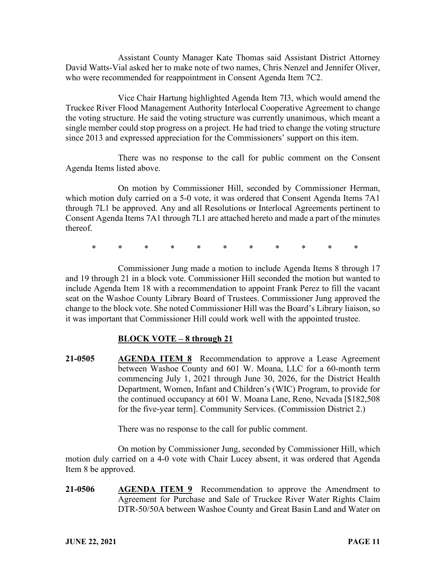Assistant County Manager Kate Thomas said Assistant District Attorney David Watts-Vial asked her to make note of two names, Chris Nenzel and Jennifer Oliver, who were recommended for reappointment in Consent Agenda Item 7C2.

Vice Chair Hartung highlighted Agenda Item 7I3, which would amend the Truckee River Flood Management Authority Interlocal Cooperative Agreement to change the voting structure. He said the voting structure was currently unanimous, which meant a single member could stop progress on a project. He had tried to change the voting structure since 2013 and expressed appreciation for the Commissioners' support on this item.

There was no response to the call for public comment on the Consent Agenda Items listed above.

On motion by Commissioner Hill, seconded by Commissioner Herman, which motion duly carried on a 5-0 vote, it was ordered that Consent Agenda Items 7A1 through 7L1 be approved. Any and all Resolutions or Interlocal Agreements pertinent to Consent Agenda Items 7A1 through 7L1 are attached hereto and made a part of the minutes thereof.

\* \* \* \* \* \* \* \* \* \* \*

Commissioner Jung made a motion to include Agenda Items 8 through 17 and 19 through 21 in a block vote. Commissioner Hill seconded the motion but wanted to include Agenda Item 18 with a recommendation to appoint Frank Perez to fill the vacant seat on the Washoe County Library Board of Trustees. Commissioner Jung approved the change to the block vote. She noted Commissioner Hill was the Board's Library liaison, so it was important that Commissioner Hill could work well with the appointed trustee.

# **BLOCK VOTE – 8 through 21**

**21-0505 AGENDA ITEM 8** Recommendation to approve a Lease Agreement between Washoe County and 601 W. Moana, LLC for a 60-month term commencing July 1, 2021 through June 30, 2026, for the District Health Department, Women, Infant and Children's (WIC) Program, to provide for the continued occupancy at 601 W. Moana Lane, Reno, Nevada [\$182,508 for the five-year term]. Community Services. (Commission District 2.)

There was no response to the call for public comment.

On motion by Commissioner Jung, seconded by Commissioner Hill, which motion duly carried on a 4-0 vote with Chair Lucey absent, it was ordered that Agenda Item 8 be approved.

**21-0506 AGENDA ITEM 9** Recommendation to approve the Amendment to Agreement for Purchase and Sale of Truckee River Water Rights Claim DTR-50/50A between Washoe County and Great Basin Land and Water on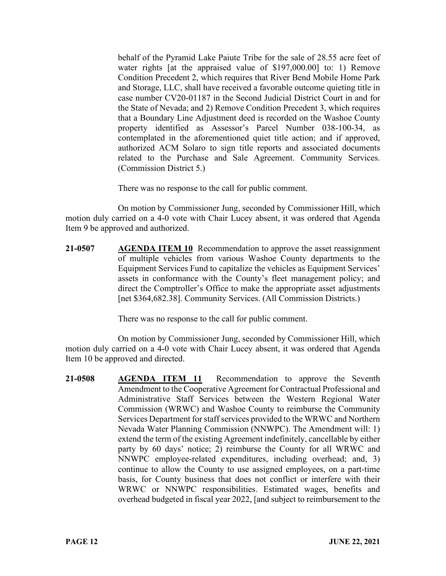behalf of the Pyramid Lake Paiute Tribe for the sale of 28.55 acre feet of water rights [at the appraised value of \$197,000.00] to: 1) Remove Condition Precedent 2, which requires that River Bend Mobile Home Park and Storage, LLC, shall have received a favorable outcome quieting title in case number CV20-01187 in the Second Judicial District Court in and for the State of Nevada; and 2) Remove Condition Precedent 3, which requires that a Boundary Line Adjustment deed is recorded on the Washoe County property identified as Assessor's Parcel Number 038-100-34, as contemplated in the aforementioned quiet title action; and if approved, authorized ACM Solaro to sign title reports and associated documents related to the Purchase and Sale Agreement. Community Services. (Commission District 5.)

There was no response to the call for public comment.

On motion by Commissioner Jung, seconded by Commissioner Hill, which motion duly carried on a 4-0 vote with Chair Lucey absent, it was ordered that Agenda Item 9 be approved and authorized.

**21-0507 AGENDA ITEM 10** Recommendation to approve the asset reassignment of multiple vehicles from various Washoe County departments to the Equipment Services Fund to capitalize the vehicles as Equipment Services' assets in conformance with the County's fleet management policy; and direct the Comptroller's Office to make the appropriate asset adjustments [net \$364,682.38]. Community Services. (All Commission Districts.)

There was no response to the call for public comment.

On motion by Commissioner Jung, seconded by Commissioner Hill, which motion duly carried on a 4-0 vote with Chair Lucey absent, it was ordered that Agenda Item 10 be approved and directed.

**21-0508 AGENDA ITEM 11** Recommendation to approve the Seventh Amendment to the Cooperative Agreement for Contractual Professional and Administrative Staff Services between the Western Regional Water Commission (WRWC) and Washoe County to reimburse the Community Services Department for staff services provided to the WRWC and Northern Nevada Water Planning Commission (NNWPC). The Amendment will: 1) extend the term of the existing Agreement indefinitely, cancellable by either party by 60 days' notice; 2) reimburse the County for all WRWC and NNWPC employee-related expenditures, including overhead; and, 3) continue to allow the County to use assigned employees, on a part-time basis, for County business that does not conflict or interfere with their WRWC or NNWPC responsibilities. Estimated wages, benefits and overhead budgeted in fiscal year 2022, [and subject to reimbursement to the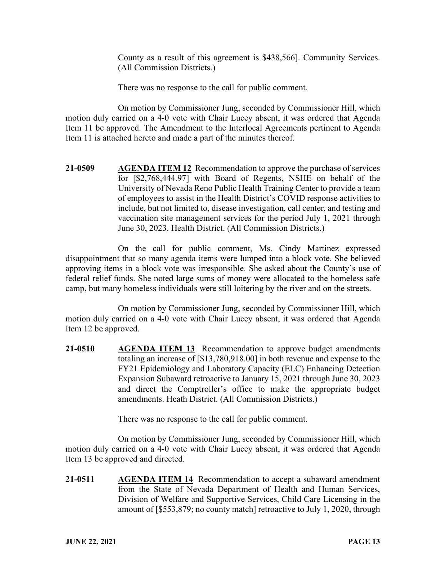County as a result of this agreement is \$438,566]. Community Services. (All Commission Districts.)

There was no response to the call for public comment.

On motion by Commissioner Jung, seconded by Commissioner Hill, which motion duly carried on a 4-0 vote with Chair Lucey absent, it was ordered that Agenda Item 11 be approved. The Amendment to the Interlocal Agreements pertinent to Agenda Item 11 is attached hereto and made a part of the minutes thereof.

**21-0509 AGENDA ITEM 12** Recommendation to approve the purchase of services for [\$2,768,444.97] with Board of Regents, NSHE on behalf of the University of Nevada Reno Public Health Training Center to provide a team of employees to assist in the Health District's COVID response activities to include, but not limited to, disease investigation, call center, and testing and vaccination site management services for the period July 1, 2021 through June 30, 2023. Health District. (All Commission Districts.)

On the call for public comment, Ms. Cindy Martinez expressed disappointment that so many agenda items were lumped into a block vote. She believed approving items in a block vote was irresponsible. She asked about the County's use of federal relief funds. She noted large sums of money were allocated to the homeless safe camp, but many homeless individuals were still loitering by the river and on the streets.

On motion by Commissioner Jung, seconded by Commissioner Hill, which motion duly carried on a 4-0 vote with Chair Lucey absent, it was ordered that Agenda Item 12 be approved.

**21-0510 AGENDA ITEM 13** Recommendation to approve budget amendments totaling an increase of [\$13,780,918.00] in both revenue and expense to the FY21 Epidemiology and Laboratory Capacity (ELC) Enhancing Detection Expansion Subaward retroactive to January 15, 2021 through June 30, 2023 and direct the Comptroller's office to make the appropriate budget amendments. Heath District. (All Commission Districts.)

There was no response to the call for public comment.

On motion by Commissioner Jung, seconded by Commissioner Hill, which motion duly carried on a 4-0 vote with Chair Lucey absent, it was ordered that Agenda Item 13 be approved and directed.

**21-0511 AGENDA ITEM 14** Recommendation to accept a subaward amendment from the State of Nevada Department of Health and Human Services, Division of Welfare and Supportive Services, Child Care Licensing in the amount of [\$553,879; no county match] retroactive to July 1, 2020, through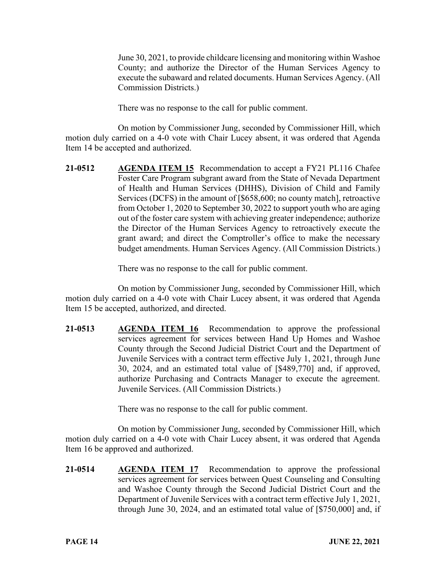June 30, 2021, to provide childcare licensing and monitoring within Washoe County; and authorize the Director of the Human Services Agency to execute the subaward and related documents. Human Services Agency. (All Commission Districts.)

There was no response to the call for public comment.

On motion by Commissioner Jung, seconded by Commissioner Hill, which motion duly carried on a 4-0 vote with Chair Lucey absent, it was ordered that Agenda Item 14 be accepted and authorized.

**21-0512 AGENDA ITEM 15** Recommendation to accept a FY21 PL116 Chafee Foster Care Program subgrant award from the State of Nevada Department of Health and Human Services (DHHS), Division of Child and Family Services (DCFS) in the amount of [\$658,600; no county match], retroactive from October 1, 2020 to September 30, 2022 to support youth who are aging out of the foster care system with achieving greater independence; authorize the Director of the Human Services Agency to retroactively execute the grant award; and direct the Comptroller's office to make the necessary budget amendments. Human Services Agency. (All Commission Districts.)

There was no response to the call for public comment.

On motion by Commissioner Jung, seconded by Commissioner Hill, which motion duly carried on a 4-0 vote with Chair Lucey absent, it was ordered that Agenda Item 15 be accepted, authorized, and directed.

**21-0513 AGENDA ITEM 16** Recommendation to approve the professional services agreement for services between Hand Up Homes and Washoe County through the Second Judicial District Court and the Department of Juvenile Services with a contract term effective July 1, 2021, through June 30, 2024, and an estimated total value of [\$489,770] and, if approved, authorize Purchasing and Contracts Manager to execute the agreement. Juvenile Services. (All Commission Districts.)

There was no response to the call for public comment.

On motion by Commissioner Jung, seconded by Commissioner Hill, which motion duly carried on a 4-0 vote with Chair Lucey absent, it was ordered that Agenda Item 16 be approved and authorized.

**21-0514 AGENDA ITEM 17** Recommendation to approve the professional services agreement for services between Quest Counseling and Consulting and Washoe County through the Second Judicial District Court and the Department of Juvenile Services with a contract term effective July 1, 2021, through June 30, 2024, and an estimated total value of [\$750,000] and, if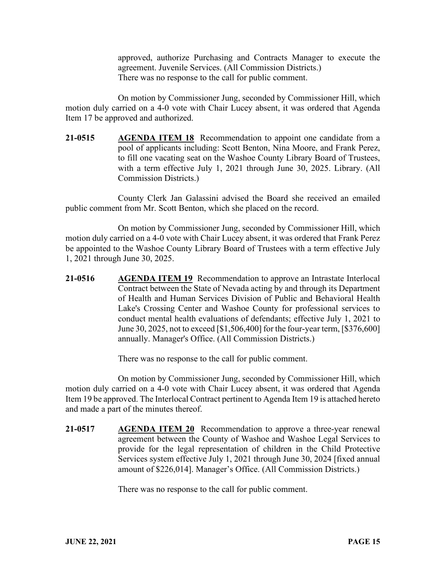approved, authorize Purchasing and Contracts Manager to execute the agreement. Juvenile Services. (All Commission Districts.) There was no response to the call for public comment.

On motion by Commissioner Jung, seconded by Commissioner Hill, which motion duly carried on a 4-0 vote with Chair Lucey absent, it was ordered that Agenda Item 17 be approved and authorized.

**21-0515 AGENDA ITEM 18** Recommendation to appoint one candidate from a pool of applicants including: Scott Benton, Nina Moore, and Frank Perez, to fill one vacating seat on the Washoe County Library Board of Trustees, with a term effective July 1, 2021 through June 30, 2025. Library. (All Commission Districts.)

County Clerk Jan Galassini advised the Board she received an emailed public comment from Mr. Scott Benton, which she placed on the record.

On motion by Commissioner Jung, seconded by Commissioner Hill, which motion duly carried on a 4-0 vote with Chair Lucey absent, it was ordered that Frank Perez be appointed to the Washoe County Library Board of Trustees with a term effective July 1, 2021 through June 30, 2025.

**21-0516 AGENDA ITEM 19** Recommendation to approve an Intrastate Interlocal Contract between the State of Nevada acting by and through its Department of Health and Human Services Division of Public and Behavioral Health Lake's Crossing Center and Washoe County for professional services to conduct mental health evaluations of defendants; effective July 1, 2021 to June 30, 2025, not to exceed [\$1,506,400] for the four-year term, [\$376,600] annually. Manager's Office. (All Commission Districts.)

There was no response to the call for public comment.

On motion by Commissioner Jung, seconded by Commissioner Hill, which motion duly carried on a 4-0 vote with Chair Lucey absent, it was ordered that Agenda Item 19 be approved. The Interlocal Contract pertinent to Agenda Item 19 is attached hereto and made a part of the minutes thereof.

**21-0517 AGENDA ITEM 20** Recommendation to approve a three-year renewal agreement between the County of Washoe and Washoe Legal Services to provide for the legal representation of children in the Child Protective Services system effective July 1, 2021 through June 30, 2024 [fixed annual amount of \$226,014]. Manager's Office. (All Commission Districts.)

There was no response to the call for public comment.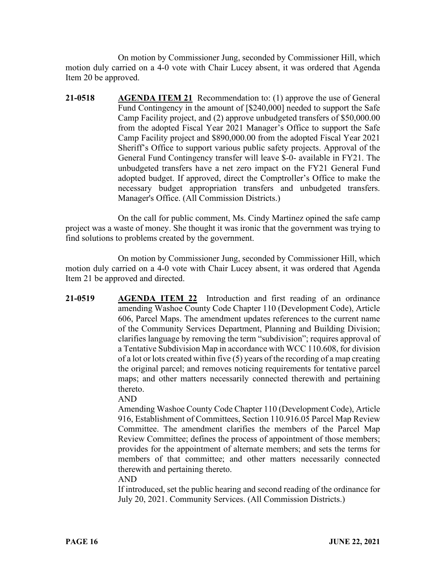On motion by Commissioner Jung, seconded by Commissioner Hill, which motion duly carried on a 4-0 vote with Chair Lucey absent, it was ordered that Agenda Item 20 be approved.

**21-0518 AGENDA ITEM 21** Recommendation to: (1) approve the use of General Fund Contingency in the amount of [\$240,000] needed to support the Safe Camp Facility project, and (2) approve unbudgeted transfers of \$50,000.00 from the adopted Fiscal Year 2021 Manager's Office to support the Safe Camp Facility project and \$890,000.00 from the adopted Fiscal Year 2021 Sheriff's Office to support various public safety projects. Approval of the General Fund Contingency transfer will leave \$-0- available in FY21. The unbudgeted transfers have a net zero impact on the FY21 General Fund adopted budget. If approved, direct the Comptroller's Office to make the necessary budget appropriation transfers and unbudgeted transfers. Manager's Office. (All Commission Districts.)

On the call for public comment, Ms. Cindy Martinez opined the safe camp project was a waste of money. She thought it was ironic that the government was trying to find solutions to problems created by the government.

On motion by Commissioner Jung, seconded by Commissioner Hill, which motion duly carried on a 4-0 vote with Chair Lucey absent, it was ordered that Agenda Item 21 be approved and directed.

**21-0519 AGENDA ITEM 22** Introduction and first reading of an ordinance amending Washoe County Code Chapter 110 (Development Code), Article 606, Parcel Maps. The amendment updates references to the current name of the Community Services Department, Planning and Building Division; clarifies language by removing the term "subdivision"; requires approval of a Tentative Subdivision Map in accordance with WCC 110.608, for division of a lot or lots created within five (5) years of the recording of a map creating the original parcel; and removes noticing requirements for tentative parcel maps; and other matters necessarily connected therewith and pertaining thereto.

AND

Amending Washoe County Code Chapter 110 (Development Code), Article 916, Establishment of Committees, Section 110.916.05 Parcel Map Review Committee. The amendment clarifies the members of the Parcel Map Review Committee; defines the process of appointment of those members; provides for the appointment of alternate members; and sets the terms for members of that committee; and other matters necessarily connected therewith and pertaining thereto.

## AND

If introduced, set the public hearing and second reading of the ordinance for July 20, 2021. Community Services. (All Commission Districts.)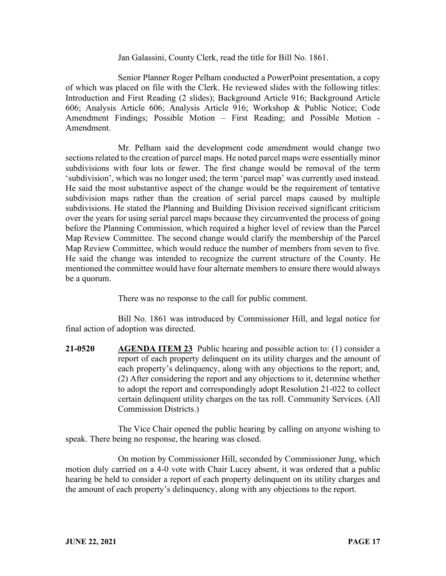Jan Galassini, County Clerk, read the title for Bill No. 1861.

Senior Planner Roger Pelham conducted a PowerPoint presentation, a copy of which was placed on file with the Clerk. He reviewed slides with the following titles: Introduction and First Reading (2 slides); Background Article 916; Background Article 606; Analysis Article 606; Analysis Article 916; Workshop & Public Notice; Code Amendment Findings; Possible Motion – First Reading; and Possible Motion - Amendment.

Mr. Pelham said the development code amendment would change two sections related to the creation of parcel maps. He noted parcel maps were essentially minor subdivisions with four lots or fewer. The first change would be removal of the term 'subdivision', which was no longer used; the term 'parcel map' was currently used instead. He said the most substantive aspect of the change would be the requirement of tentative subdivision maps rather than the creation of serial parcel maps caused by multiple subdivisions. He stated the Planning and Building Division received significant criticism over the years for using serial parcel maps because they circumvented the process of going before the Planning Commission, which required a higher level of review than the Parcel Map Review Committee. The second change would clarify the membership of the Parcel Map Review Committee, which would reduce the number of members from seven to five. He said the change was intended to recognize the current structure of the County. He mentioned the committee would have four alternate members to ensure there would always be a quorum.

There was no response to the call for public comment.

Bill No. 1861 was introduced by Commissioner Hill, and legal notice for final action of adoption was directed.

**21-0520 AGENDA ITEM 23** Public hearing and possible action to: (1) consider a report of each property delinquent on its utility charges and the amount of each property's delinquency, along with any objections to the report; and, (2) After considering the report and any objections to it, determine whether to adopt the report and correspondingly adopt Resolution 21-022 to collect certain delinquent utility charges on the tax roll. Community Services. (All Commission Districts.)

The Vice Chair opened the public hearing by calling on anyone wishing to speak. There being no response, the hearing was closed.

On motion by Commissioner Hill, seconded by Commissioner Jung, which motion duly carried on a 4-0 vote with Chair Lucey absent, it was ordered that a public hearing be held to consider a report of each property delinquent on its utility charges and the amount of each property's delinquency, along with any objections to the report.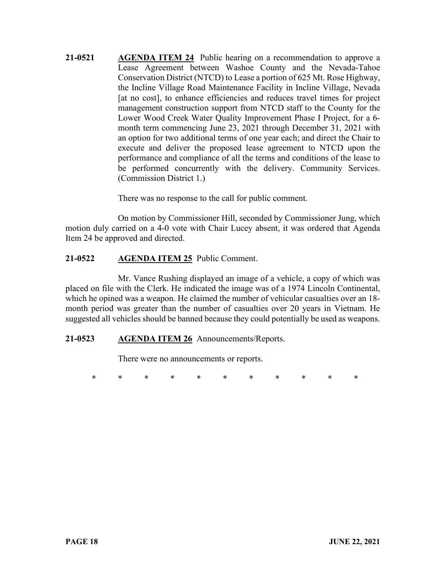**21-0521 AGENDA ITEM 24** Public hearing on a recommendation to approve a Lease Agreement between Washoe County and the Nevada-Tahoe Conservation District (NTCD) to Lease a portion of 625 Mt. Rose Highway, the Incline Village Road Maintenance Facility in Incline Village, Nevada [at no cost], to enhance efficiencies and reduces travel times for project management construction support from NTCD staff to the County for the Lower Wood Creek Water Quality Improvement Phase I Project, for a 6 month term commencing June 23, 2021 through December 31, 2021 with an option for two additional terms of one year each; and direct the Chair to execute and deliver the proposed lease agreement to NTCD upon the performance and compliance of all the terms and conditions of the lease to be performed concurrently with the delivery. Community Services. (Commission District 1.)

There was no response to the call for public comment.

On motion by Commissioner Hill, seconded by Commissioner Jung, which motion duly carried on a 4-0 vote with Chair Lucey absent, it was ordered that Agenda Item 24 be approved and directed.

# **21-0522 AGENDA ITEM 25** Public Comment.

Mr. Vance Rushing displayed an image of a vehicle, a copy of which was placed on file with the Clerk. He indicated the image was of a 1974 Lincoln Continental, which he opined was a weapon. He claimed the number of vehicular casualties over an 18 month period was greater than the number of casualties over 20 years in Vietnam. He suggested all vehicles should be banned because they could potentially be used as weapons.

## **21-0523 AGENDA ITEM 26** Announcements/Reports.

There were no announcements or reports.

\* \* \* \* \* \* \* \* \* \* \*